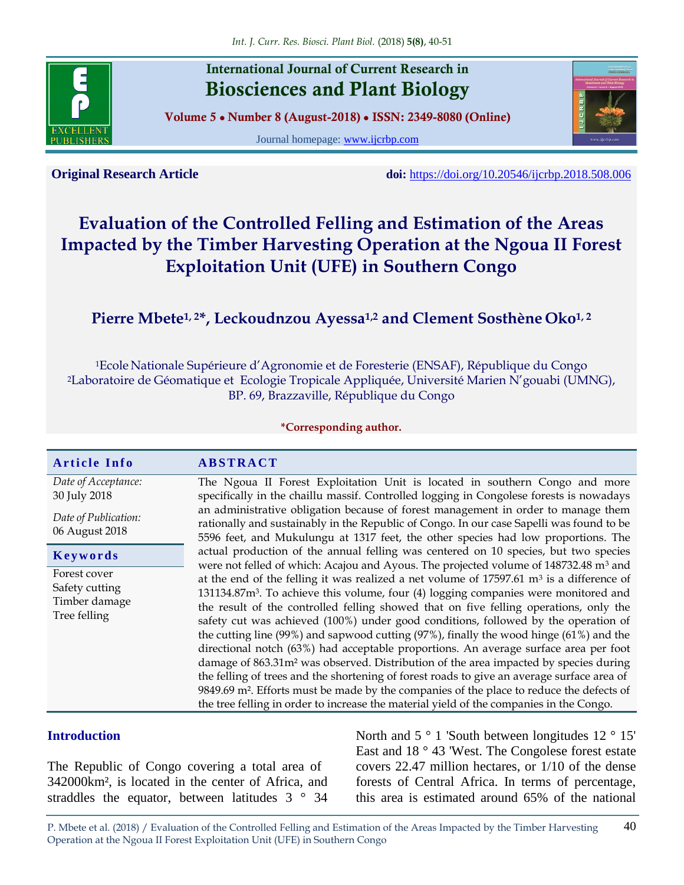

**International Journal of Current Research in Biosciences and Plant Biology**

**Volume 5 ● Number 8 (August-2018) ● ISSN: 2349-8080 (Online)**

Journal homepage: [www.ijcrbp.com](http://www.ijcrbp.com/)



**Original Research Article doi:** <https://doi.org/10.20546/ijcrbp.2018.508.006>

# **Evaluation of the Controlled Felling and Estimation of the Areas Impacted by the Timber Harvesting Operation at the Ngoua II Forest Exploitation Unit (UFE) in Southern Congo**

# **Pierre Mbete1, 2\*, Leckoudnzou Ayessa1,2 and Clement Sosthène Oko1, 2**

<sup>1</sup>Ecole Nationale Supérieure d'Agronomie et de Foresterie (ENSAF), République du Congo <sup>2</sup>Laboratoire de Géomatique et Ecologie Tropicale Appliquée, Université Marien N'gouabi (UMNG), BP. 69, Brazzaville, République du Congo

#### **\*Corresponding author.**

#### **A r t i c l e I n f o A B S T R A C T**

*Date of Acceptance:* 30 July 2018

*Date of Publication:* 06 August 2018

**K e y w o r d s**

Forest cover Safety cutting Timber damage Tree felling

The Ngoua II Forest Exploitation Unit is located in southern Congo and more specifically in the chaillu massif. Controlled logging in Congolese forests is nowadays an administrative obligation because of forest management in order to manage them rationally and sustainably in the Republic of Congo. In our case Sapelli was found to be 5596 feet, and Mukulungu at 1317 feet, the other species had low proportions. The actual production of the annual felling was centered on 10 species, but two species were not felled of which: Acajou and Ayous. The projected volume of 148732.48 m<sup>3</sup> and at the end of the felling it was realized a net volume of  $17597.61 \text{ m}^3$  is a difference of 131134.87m<sup>3</sup> . To achieve this volume, four (4) logging companies were monitored and the result of the controlled felling showed that on five felling operations, only the safety cut was achieved (100%) under good conditions, followed by the operation of the cutting line (99%) and sapwood cutting (97%), finally the wood hinge (61%) and the directional notch (63%) had acceptable proportions. An average surface area per foot damage of 863.31m² was observed. Distribution of the area impacted by species during the felling of trees and the shortening of forest roads to give an average surface area of 9849.69 m². Efforts must be made by the companies of the place to reduce the defects of the tree felling in order to increase the material yield of the companies in the Congo.

#### **Introduction**

The Republic of Congo covering a total area of 342000km², is located in the center of Africa, and straddles the equator, between latitudes 3 ° 34 North and 5 ° 1 'South between longitudes 12 ° 15' East and 18 ° 43 'West. The Congolese forest estate covers 22.47 million hectares, or 1/10 of the dense forests of Central Africa. In terms of percentage, this area is estimated around 65% of the national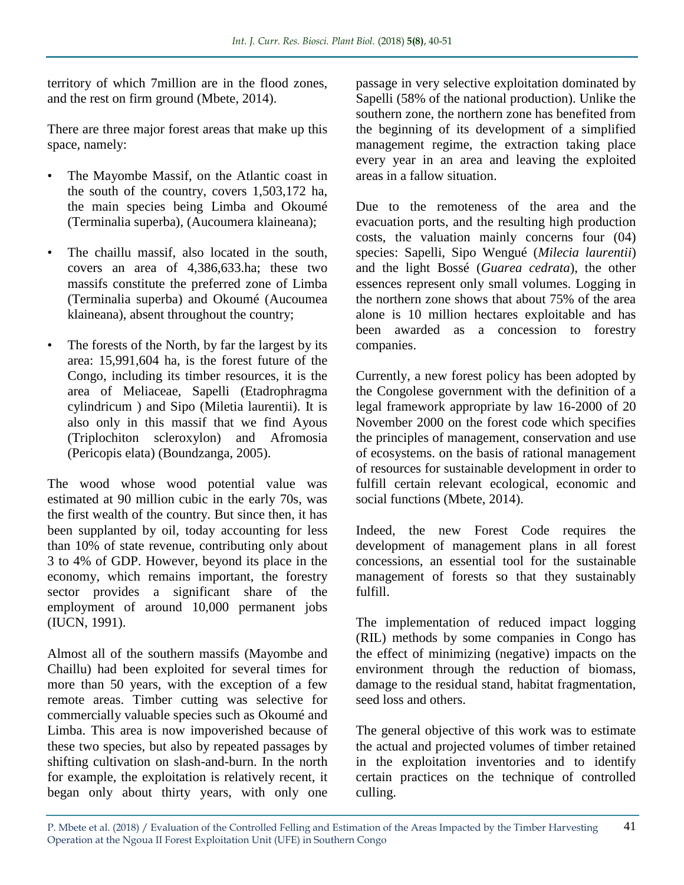territory of which 7million are in the flood zones, and the rest on firm ground (Mbete, 2014).

There are three major forest areas that make up this space, namely:

- The Mayombe Massif, on the Atlantic coast in the south of the country, covers 1,503,172 ha, the main species being Limba and Okoumé (Terminalia superba), (Aucoumera klaineana);
- The chaillu massif, also located in the south, covers an area of 4,386,633.ha; these two massifs constitute the preferred zone of Limba (Terminalia superba) and Okoumé (Aucoumea klaineana), absent throughout the country;
- The forests of the North, by far the largest by its area: 15,991,604 ha, is the forest future of the Congo, including its timber resources, it is the area of Meliaceae, Sapelli (Etadrophragma cylindricum ) and Sipo (Miletia laurentii). It is also only in this massif that we find Ayous (Triplochiton scleroxylon) and Afromosia (Pericopis elata) (Boundzanga, 2005).

The wood whose wood potential value was estimated at 90 million cubic in the early 70s, was the first wealth of the country. But since then, it has been supplanted by oil, today accounting for less than 10% of state revenue, contributing only about 3 to 4% of GDP. However, beyond its place in the economy, which remains important, the forestry sector provides a significant share of the employment of around 10,000 permanent jobs (IUCN, 1991).

Almost all of the southern massifs (Mayombe and Chaillu) had been exploited for several times for more than 50 years, with the exception of a few remote areas. Timber cutting was selective for commercially valuable species such as Okoumé and Limba. This area is now impoverished because of these two species, but also by repeated passages by shifting cultivation on slash-and-burn. In the north for example, the exploitation is relatively recent, it began only about thirty years, with only one

passage in very selective exploitation dominated by Sapelli (58% of the national production). Unlike the southern zone, the northern zone has benefited from the beginning of its development of a simplified management regime, the extraction taking place every year in an area and leaving the exploited areas in a fallow situation.

Due to the remoteness of the area and the evacuation ports, and the resulting high production costs, the valuation mainly concerns four (04) species: Sapelli, Sipo Wengué (*Milecia laurentii*) and the light Bossé (*Guarea cedrata*), the other essences represent only small volumes. Logging in the northern zone shows that about 75% of the area alone is 10 million hectares exploitable and has been awarded as a concession to forestry companies.

Currently, a new forest policy has been adopted by the Congolese government with the definition of a legal framework appropriate by law 16-2000 of 20 November 2000 on the forest code which specifies the principles of management, conservation and use of ecosystems. on the basis of rational management of resources for sustainable development in order to fulfill certain relevant ecological, economic and social functions (Mbete, 2014).

Indeed, the new Forest Code requires the development of management plans in all forest concessions, an essential tool for the sustainable management of forests so that they sustainably fulfill.

The implementation of reduced impact logging (RIL) methods by some companies in Congo has the effect of minimizing (negative) impacts on the environment through the reduction of biomass, damage to the residual stand, habitat fragmentation, seed loss and others.

The general objective of this work was to estimate the actual and projected volumes of timber retained in the exploitation inventories and to identify certain practices on the technique of controlled culling.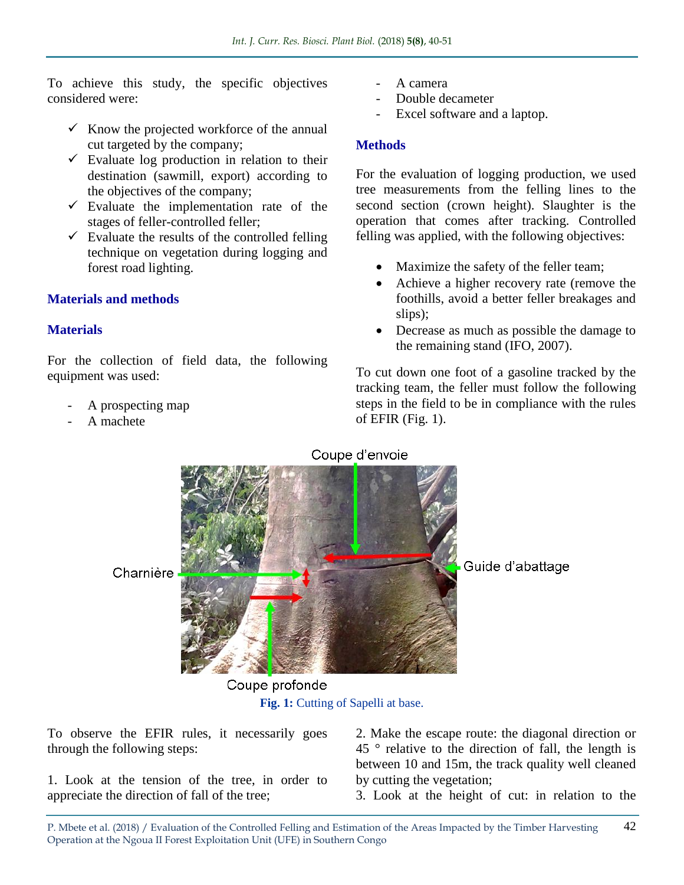To achieve this study, the specific objectives considered were:

- $\checkmark$  Know the projected workforce of the annual cut targeted by the company;
- $\checkmark$  Evaluate log production in relation to their destination (sawmill, export) according to the objectives of the company;
- $\checkmark$  Evaluate the implementation rate of the stages of feller-controlled feller;
- $\checkmark$  Evaluate the results of the controlled felling technique on vegetation during logging and forest road lighting.

# **Materials and methods**

# **Materials**

For the collection of field data, the following equipment was used:

- A prospecting map
- A machete
- A camera
- Double decameter
- Excel software and a laptop.

# **Methods**

For the evaluation of logging production, we used tree measurements from the felling lines to the second section (crown height). Slaughter is the operation that comes after tracking. Controlled felling was applied, with the following objectives:

- Maximize the safety of the feller team;
- Achieve a higher recovery rate (remove the foothills, avoid a better feller breakages and slips);
- Decrease as much as possible the damage to the remaining stand (IFO, 2007).

To cut down one foot of a gasoline tracked by the tracking team, the feller must follow the following steps in the field to be in compliance with the rules of EFIR (Fig. 1).



**Fig. 1:** Cutting of Sapelli at base.

To observe the EFIR rules, it necessarily goes through the following steps:

1. Look at the tension of the tree, in order to appreciate the direction of fall of the tree;

2. Make the escape route: the diagonal direction or  $45$   $\degree$  relative to the direction of fall, the length is between 10 and 15m, the track quality well cleaned by cutting the vegetation;

3. Look at the height of cut: in relation to the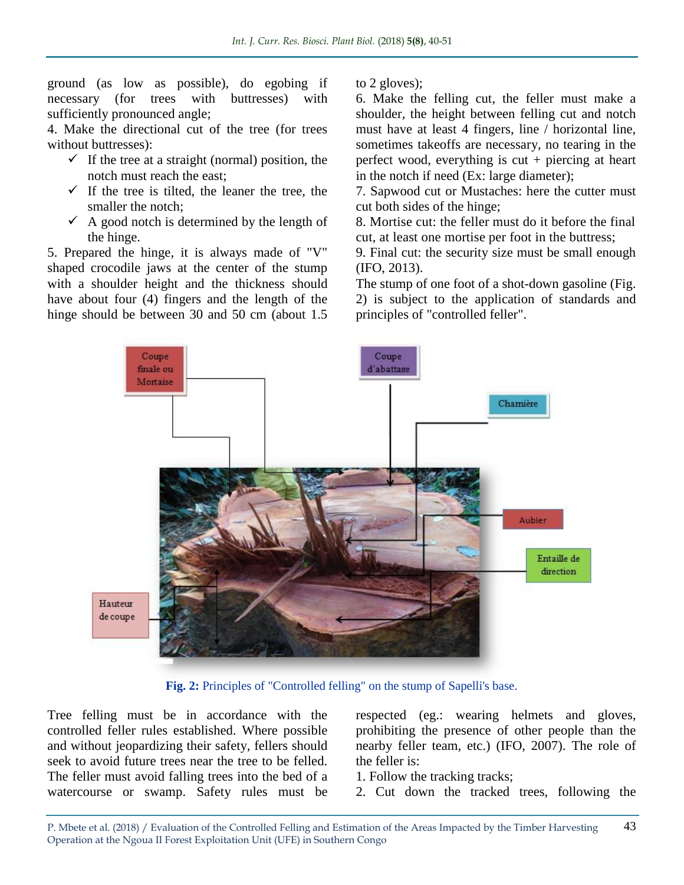ground (as low as possible), do egobing if necessary (for trees with buttresses) with sufficiently pronounced angle;

4. Make the directional cut of the tree (for trees without buttresses):

- $\checkmark$  If the tree at a straight (normal) position, the notch must reach the east;
- $\checkmark$  If the tree is tilted, the leaner the tree, the smaller the notch;
- $\checkmark$  A good notch is determined by the length of the hinge.

5. Prepared the hinge, it is always made of "V" shaped crocodile jaws at the center of the stump with a shoulder height and the thickness should have about four (4) fingers and the length of the hinge should be between 30 and 50 cm (about 1.5) to 2 gloves);

6. Make the felling cut, the feller must make a shoulder, the height between felling cut and notch must have at least 4 fingers, line / horizontal line, sometimes takeoffs are necessary, no tearing in the perfect wood, everything is  $cut + p$  piercing at heart in the notch if need (Ex: large diameter);

7. Sapwood cut or Mustaches: here the cutter must cut both sides of the hinge;

8. Mortise cut: the feller must do it before the final cut, at least one mortise per foot in the buttress;

9. Final cut: the security size must be small enough (IFO, 2013).

The stump of one foot of a shot-down gasoline (Fig. 2) is subject to the application of standards and principles of "controlled feller".



**Fig. 2:** Principles of "Controlled felling" on the stump of Sapelli's base.

Tree felling must be in accordance with the controlled feller rules established. Where possible and without jeopardizing their safety, fellers should seek to avoid future trees near the tree to be felled. The feller must avoid falling trees into the bed of a watercourse or swamp. Safety rules must be

respected (eg.: wearing helmets and gloves, prohibiting the presence of other people than the nearby feller team, etc.) (IFO, 2007). The role of the feller is:

1. Follow the tracking tracks;

2. Cut down the tracked trees, following the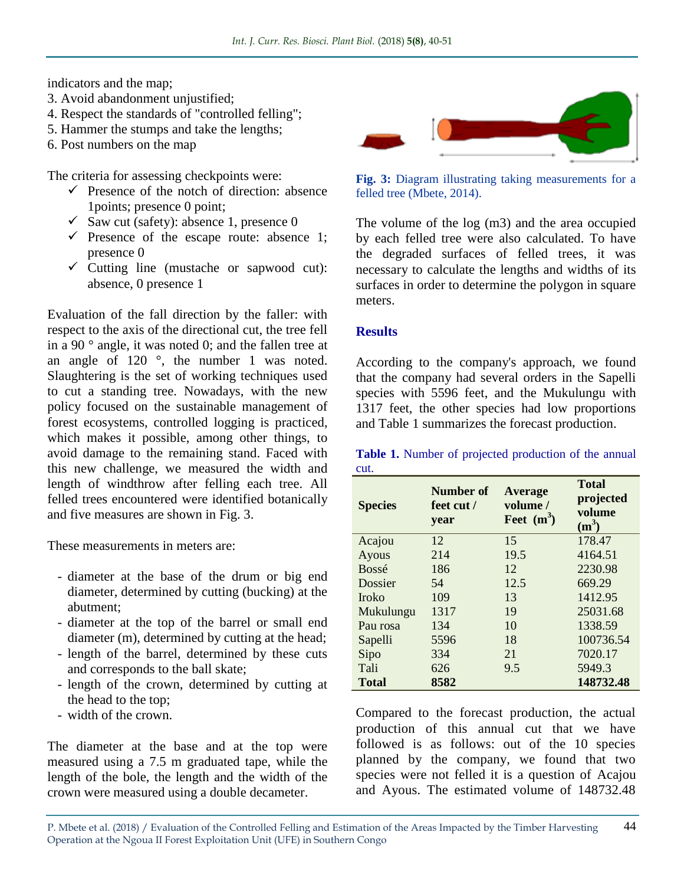indicators and the map;

- 3. Avoid abandonment unjustified;
- 4. Respect the standards of "controlled felling";
- 5. Hammer the stumps and take the lengths;
- 6. Post numbers on the map

The criteria for assessing checkpoints were:

- $\checkmark$  Presence of the notch of direction: absence 1points; presence 0 point;
- $\checkmark$  Saw cut (safety): absence 1, presence 0
- $\checkmark$  Presence of the escape route: absence 1; presence 0
- $\checkmark$  Cutting line (mustache or sapwood cut): absence, 0 presence 1

Evaluation of the fall direction by the faller: with respect to the axis of the directional cut, the tree fell in a 90 $^{\circ}$  angle, it was noted 0; and the fallen tree at an angle of 120 °, the number 1 was noted. Slaughtering is the set of working techniques used to cut a standing tree. Nowadays, with the new policy focused on the sustainable management of forest ecosystems, controlled logging is practiced, which makes it possible, among other things, to avoid damage to the remaining stand. Faced with this new challenge, we measured the width and length of windthrow after felling each tree. All felled trees encountered were identified botanically and five measures are shown in Fig. 3.

These measurements in meters are:

- diameter at the base of the drum or big end diameter, determined by cutting (bucking) at the abutment;
- diameter at the top of the barrel or small end diameter (m), determined by cutting at the head;
- length of the barrel, determined by these cuts and corresponds to the ball skate;
- length of the crown, determined by cutting at the head to the top;
- width of the crown.

The diameter at the base and at the top were measured using a 7.5 m graduated tape, while the length of the bole, the length and the width of the crown were measured using a double decameter.



**Fig. 3:** Diagram illustrating taking measurements for a felled tree (Mbete, 2014).

The volume of the log (m3) and the area occupied by each felled tree were also calculated. To have the degraded surfaces of felled trees, it was necessary to calculate the lengths and widths of its surfaces in order to determine the polygon in square meters.

## **Results**

According to the company's approach, we found that the company had several orders in the Sapelli species with 5596 feet, and the Mukulungu with 1317 feet, the other species had low proportions and Table 1 summarizes the forecast production.

**Table 1.** Number of projected production of the annual cut.

| <b>Species</b> | Number of<br>feet cut /<br>year | <b>Average</b><br>volume /<br>Feet $(m^3)$ | <b>Total</b><br>projected<br>volume<br>$(m^3)$ |  |  |
|----------------|---------------------------------|--------------------------------------------|------------------------------------------------|--|--|
| Acajou         | 12                              | 15                                         | 178.47                                         |  |  |
| Ayous          | 214                             | 19.5                                       | 4164.51                                        |  |  |
| <b>Bossé</b>   | 186                             | 12                                         | 2230.98                                        |  |  |
| Dossier        | 54                              | 12.5                                       | 669.29                                         |  |  |
| <b>Iroko</b>   | 109                             | 13                                         | 1412.95                                        |  |  |
| Mukulungu      | 1317                            | 19                                         | 25031.68                                       |  |  |
| Pau rosa       | 134                             | 10                                         | 1338.59                                        |  |  |
| Sapelli        | 5596                            | 18                                         | 100736.54                                      |  |  |
| Sipo           | 334                             | 21                                         | 7020.17                                        |  |  |
| Tali           | 626                             | 9.5                                        | 5949.3                                         |  |  |
| <b>Total</b>   | 8582                            |                                            | 148732.48                                      |  |  |

Compared to the forecast production, the actual production of this annual cut that we have followed is as follows: out of the 10 species planned by the company, we found that two species were not felled it is a question of Acajou and Ayous. The estimated volume of 148732.48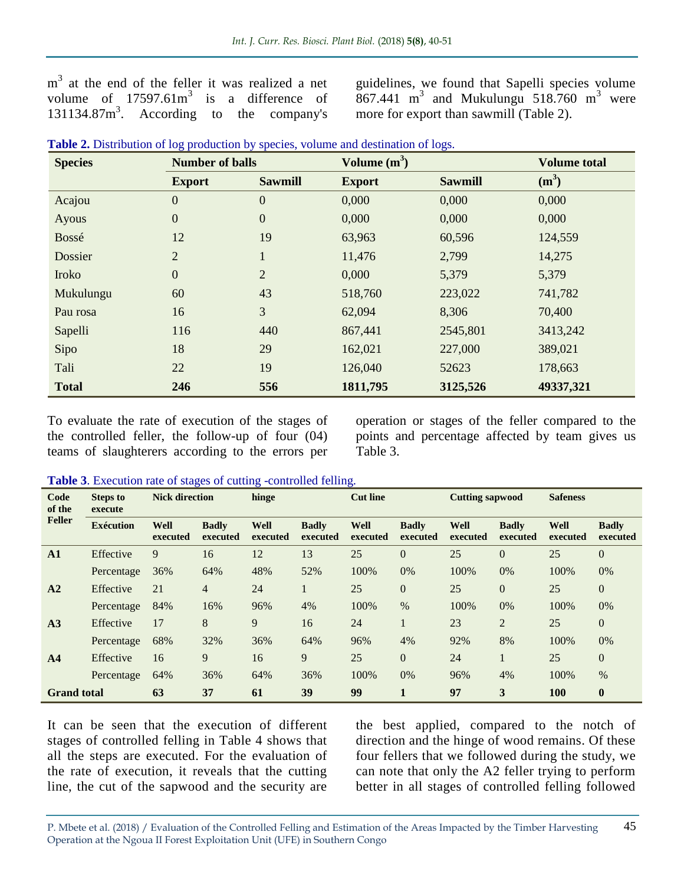m<sup>3</sup> at the end of the feller it was realized a net volume of  $17597.61m^3$  is a difference of 131134.87m<sup>3</sup> . According to the company's guidelines, we found that Sapelli species volume  $867.441$  m<sup>3</sup> and Mukulungu 518.760 m<sup>3</sup> were more for export than sawmill (Table 2).

| <b>Species</b> | <b>Number of balls</b> |                  | Volume $(m^3)$ | <b>Volume total</b> |           |
|----------------|------------------------|------------------|----------------|---------------------|-----------|
|                | <b>Export</b>          | <b>Sawmill</b>   | <b>Export</b>  | <b>Sawmill</b>      | $(m^3)$   |
| Acajou         | $\boldsymbol{0}$       | $\boldsymbol{0}$ | 0,000          | 0,000               | 0,000     |
| Ayous          | $\boldsymbol{0}$       | $\boldsymbol{0}$ | 0,000          | 0,000               | 0,000     |
| Bossé          | 12                     | 19               | 63,963         | 60,596              | 124,559   |
| Dossier        | $\overline{2}$         | $\mathbf{1}$     | 11,476         | 2,799               | 14,275    |
| Iroko          | $\boldsymbol{0}$       | $\overline{2}$   | 0,000          | 5,379               | 5,379     |
| Mukulungu      | 60                     | 43               | 518,760        | 223,022             | 741,782   |
| Pau rosa       | 16                     | 3                | 62,094         | 8,306               | 70,400    |
| Sapelli        | 116                    | 440              | 867,441        | 2545,801            | 3413,242  |
| Sipo           | 18                     | 29               | 162,021        | 227,000             | 389,021   |
| Tali           | 22                     | 19               | 126,040        | 52623               | 178,663   |
| <b>Total</b>   | 246                    | 556              | 1811,795       | 3125,526            | 49337,321 |

| Table 2. Distribution of log production by species, volume and destination of logs. |  |  |  |  |  |  |  |  |  |  |
|-------------------------------------------------------------------------------------|--|--|--|--|--|--|--|--|--|--|
|-------------------------------------------------------------------------------------|--|--|--|--|--|--|--|--|--|--|

To evaluate the rate of execution of the stages of the controlled feller, the follow-up of four (04) teams of slaughterers according to the errors per

operation or stages of the feller compared to the points and percentage affected by team gives us Table 3.

**Table 3**. Execution rate of stages of cutting -controlled felling.

| Code<br>of the<br><b>Feller</b> | <b>Steps to</b><br>execute | <b>Nick direction</b> |                          | hinge            |                          | <b>Cut line</b>  |                          | <b>Cutting sapwood</b>  |                          | <b>Safeness</b>  |                          |
|---------------------------------|----------------------------|-----------------------|--------------------------|------------------|--------------------------|------------------|--------------------------|-------------------------|--------------------------|------------------|--------------------------|
|                                 | <b>Exécution</b>           | Well<br>executed      | <b>Badly</b><br>executed | Well<br>executed | <b>Badly</b><br>executed | Well<br>executed | <b>Badly</b><br>executed | <b>Well</b><br>executed | <b>Badly</b><br>executed | Well<br>executed | <b>Badly</b><br>executed |
| A1                              | Effective                  | 9                     | 16                       | 12               | 13                       | 25               | $\Omega$                 | 25                      | $\theta$                 | 25               | $\overline{0}$           |
|                                 | Percentage                 | 36%                   | 64%                      | 48%              | 52%                      | 100%             | 0%                       | 100%                    | 0%                       | 100%             | 0%                       |
| A <sub>2</sub>                  | Effective                  | 21                    | $\overline{4}$           | 24               |                          | 25               | $\theta$                 | 25                      | $\overline{0}$           | 25               | $\mathbf{0}$             |
|                                 | Percentage                 | 84%                   | 16%                      | 96%              | 4%                       | 100%             | $\%$                     | 100%                    | 0%                       | 100%             | 0%                       |
| A <sub>3</sub>                  | Effective                  | 17                    | 8                        | 9                | 16                       | 24               |                          | 23                      | $\overline{2}$           | 25               | $\boldsymbol{0}$         |
|                                 | Percentage                 | 68%                   | 32%                      | 36%              | 64%                      | 96%              | 4%                       | 92%                     | 8%                       | 100%             | 0%                       |
| A <sub>4</sub>                  | Effective                  | 16                    | 9                        | 16               | 9                        | 25               | $\Omega$                 | 24                      |                          | 25               | $\overline{0}$           |
|                                 | Percentage                 | 64%                   | 36%                      | 64%              | 36%                      | 100%             | 0%                       | 96%                     | 4%                       | 100%             | $\%$                     |
| <b>Grand</b> total              |                            | 63                    | 37                       | 61               | 39                       | 99               |                          | 97                      | 3                        | <b>100</b>       | $\bf{0}$                 |

It can be seen that the execution of different stages of controlled felling in Table 4 shows that all the steps are executed. For the evaluation of the rate of execution, it reveals that the cutting line, the cut of the sapwood and the security are

the best applied, compared to the notch of direction and the hinge of wood remains. Of these four fellers that we followed during the study, we can note that only the A2 feller trying to perform better in all stages of controlled felling followed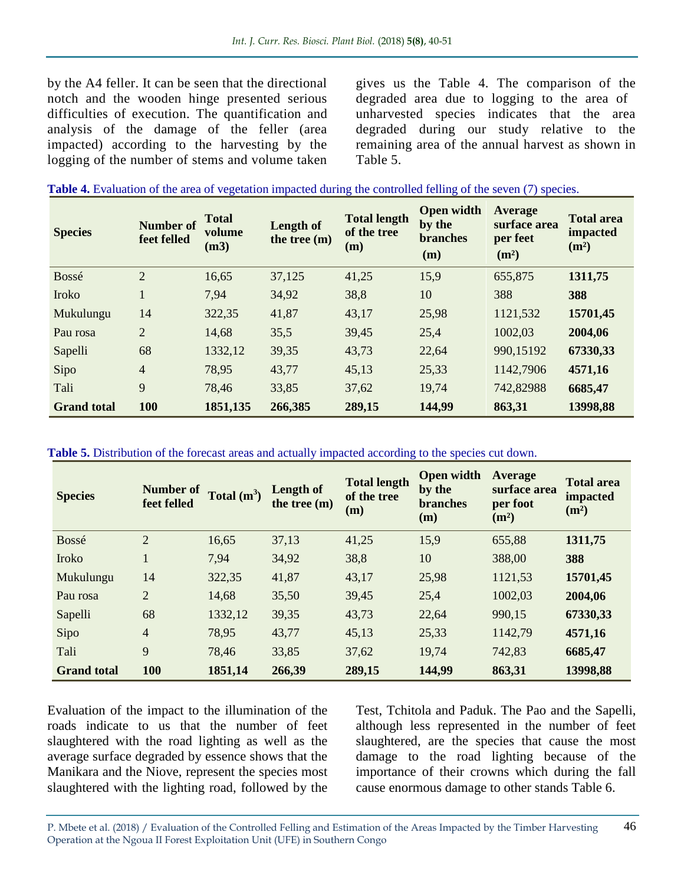by the A4 feller. It can be seen that the directional notch and the wooden hinge presented serious difficulties of execution. The quantification and analysis of the damage of the feller (area impacted) according to the harvesting by the logging of the number of stems and volume taken gives us the Table 4. The comparison of the degraded area due to logging to the area of unharvested species indicates that the area degraded during our study relative to the remaining area of the annual harvest as shown in Table 5.

| <b>Species</b>     | <b>Number of</b><br>feet felled | <b>Total</b><br>volume<br>(m3) | Length of<br>the tree (m) | <b>Total length</b><br>of the tree<br>(m) | <b>Open width</b><br>by the<br><b>branches</b><br>(m) | <b>Average</b><br>surface area<br>per feet<br>(m <sup>2</sup> ) | <b>Total area</b><br>impacted<br>(m <sup>2</sup> ) |
|--------------------|---------------------------------|--------------------------------|---------------------------|-------------------------------------------|-------------------------------------------------------|-----------------------------------------------------------------|----------------------------------------------------|
| Bossé              | $\overline{2}$                  | 16,65                          | 37,125                    | 41,25                                     | 15,9                                                  | 655,875                                                         | 1311,75                                            |
| Iroko              |                                 | 7.94                           | 34,92                     | 38,8                                      | 10                                                    | 388                                                             | 388                                                |
| Mukulungu          | 14                              | 322,35                         | 41,87                     | 43,17                                     | 25,98                                                 | 1121,532                                                        | 15701,45                                           |
| Pau rosa           | $\overline{2}$                  | 14,68                          | 35,5                      | 39,45                                     | 25,4                                                  | 1002,03                                                         | 2004,06                                            |
| Sapelli            | 68                              | 1332,12                        | 39,35                     | 43,73                                     | 22,64                                                 | 990,15192                                                       | 67330,33                                           |
| Sipo               | $\overline{4}$                  | 78,95                          | 43,77                     | 45,13                                     | 25,33                                                 | 1142,7906                                                       | 4571,16                                            |
| Tali               | 9                               | 78,46                          | 33,85                     | 37,62                                     | 19,74                                                 | 742,82988                                                       | 6685,47                                            |
| <b>Grand total</b> | 100                             | 1851,135                       | 266,385                   | 289,15                                    | 144,99                                                | 863,31                                                          | 13998,88                                           |

**Table 5.** Distribution of the forecast areas and actually impacted according to the species cut down.

| <b>Species</b>     | <b>Number of</b><br>feet felled | Total $(m^3)$ | <b>Length of</b><br>the tree $(m)$ | <b>Total length</b><br>of the tree<br>(m) | <b>Open width</b><br>by the<br><b>branches</b><br>(m) | <b>Average</b><br>surface area<br>per foot<br>(m <sup>2</sup> ) | <b>Total area</b><br><i>impacted</i><br>(m <sup>2</sup> ) |
|--------------------|---------------------------------|---------------|------------------------------------|-------------------------------------------|-------------------------------------------------------|-----------------------------------------------------------------|-----------------------------------------------------------|
| Bossé              | $\overline{2}$                  | 16,65         | 37,13                              | 41,25                                     | 15,9                                                  | 655,88                                                          | 1311,75                                                   |
| Iroko              | $\mathbf{1}$                    | 7.94          | 34,92                              | 38,8                                      | 10                                                    | 388,00                                                          | 388                                                       |
| Mukulungu          | 14                              | 322,35        | 41,87                              | 43,17                                     | 25,98                                                 | 1121,53                                                         | 15701,45                                                  |
| Pau rosa           | $\overline{2}$                  | 14,68         | 35,50                              | 39,45                                     | 25,4                                                  | 1002,03                                                         | 2004,06                                                   |
| Sapelli            | 68                              | 1332,12       | 39,35                              | 43,73                                     | 22,64                                                 | 990,15                                                          | 67330,33                                                  |
| Sipo               | $\overline{\mathcal{L}}$        | 78,95         | 43,77                              | 45,13                                     | 25,33                                                 | 1142,79                                                         | 4571,16                                                   |
| Tali               | 9                               | 78,46         | 33,85                              | 37,62                                     | 19,74                                                 | 742,83                                                          | 6685,47                                                   |
| <b>Grand total</b> | 100                             | 1851,14       | 266,39                             | 289,15                                    | 144,99                                                | 863,31                                                          | 13998,88                                                  |

Evaluation of the impact to the illumination of the roads indicate to us that the number of feet slaughtered with the road lighting as well as the average surface degraded by essence shows that the Manikara and the Niove, represent the species most slaughtered with the lighting road, followed by the

Test, Tchitola and Paduk. The Pao and the Sapelli, although less represented in the number of feet slaughtered, are the species that cause the most damage to the road lighting because of the importance of their crowns which during the fall cause enormous damage to other stands Table 6.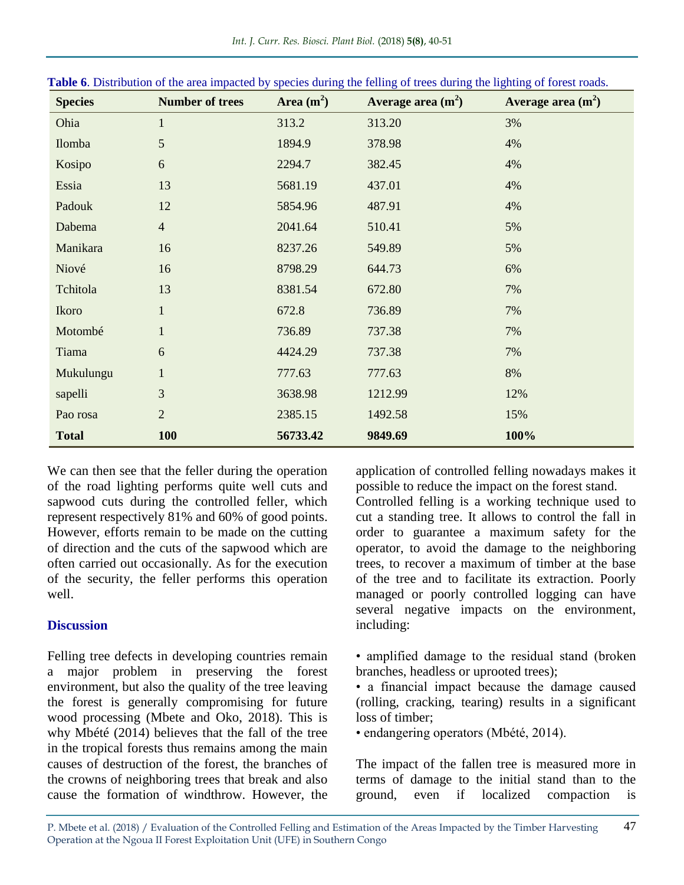| <b>Species</b> | <b>Number of trees</b> | Area $(m^2)$ | Average area $(m2)$ | Average area $(m2)$ |
|----------------|------------------------|--------------|---------------------|---------------------|
| Ohia           | $\mathbf{1}$           | 313.2        | 313.20              | 3%                  |
| Ilomba         | 5                      | 1894.9       | 378.98              | 4%                  |
| Kosipo         | 6                      | 2294.7       | 382.45              | 4%                  |
| Essia          | 13                     | 5681.19      | 437.01              | 4%                  |
| Padouk         | 12                     | 5854.96      | 487.91              | 4%                  |
| Dabema         | $\overline{4}$         | 2041.64      | 510.41              | 5%                  |
| Manikara       | 16                     | 8237.26      | 549.89              | 5%                  |
| Niové          | 16                     | 8798.29      | 644.73              | 6%                  |
| Tchitola       | 13                     | 8381.54      | 672.80              | 7%                  |
| Ikoro          | $\mathbf{1}$           | 672.8        | 736.89              | 7%                  |
| Motombé        | $\mathbf{1}$           | 736.89       | 737.38              | 7%                  |
| Tiama          | 6                      | 4424.29      | 737.38              | 7%                  |
| Mukulungu      | $\mathbf{1}$           | 777.63       | 777.63              | 8%                  |
| sapelli        | 3                      | 3638.98      | 1212.99             | 12%                 |
| Pao rosa       | $\overline{2}$         | 2385.15      | 1492.58             | 15%                 |
| <b>Total</b>   | <b>100</b>             | 56733.42     | 9849.69             | 100%                |

|  |  |  |  |  |  |  |  |  | Table 6. Distribution of the area impacted by species during the felling of trees during the lighting of forest roads. |
|--|--|--|--|--|--|--|--|--|------------------------------------------------------------------------------------------------------------------------|
|--|--|--|--|--|--|--|--|--|------------------------------------------------------------------------------------------------------------------------|

We can then see that the feller during the operation of the road lighting performs quite well cuts and sapwood cuts during the controlled feller, which represent respectively 81% and 60% of good points. However, efforts remain to be made on the cutting of direction and the cuts of the sapwood which are often carried out occasionally. As for the execution of the security, the feller performs this operation well.

# **Discussion**

Felling tree defects in developing countries remain a major problem in preserving the forest environment, but also the quality of the tree leaving the forest is generally compromising for future wood processing (Mbete and Oko, 2018). This is why Mbété (2014) believes that the fall of the tree in the tropical forests thus remains among the main causes of destruction of the forest, the branches of the crowns of neighboring trees that break and also cause the formation of windthrow. However, the

application of controlled felling nowadays makes it possible to reduce the impact on the forest stand.

Controlled felling is a working technique used to cut a standing tree. It allows to control the fall in order to guarantee a maximum safety for the operator, to avoid the damage to the neighboring trees, to recover a maximum of timber at the base of the tree and to facilitate its extraction. Poorly managed or poorly controlled logging can have several negative impacts on the environment, including:

- amplified damage to the residual stand (broken branches, headless or uprooted trees);
- a financial impact because the damage caused (rolling, cracking, tearing) results in a significant loss of timber;
- endangering operators (Mbété, 2014).

The impact of the fallen tree is measured more in terms of damage to the initial stand than to the ground, even if localized compaction is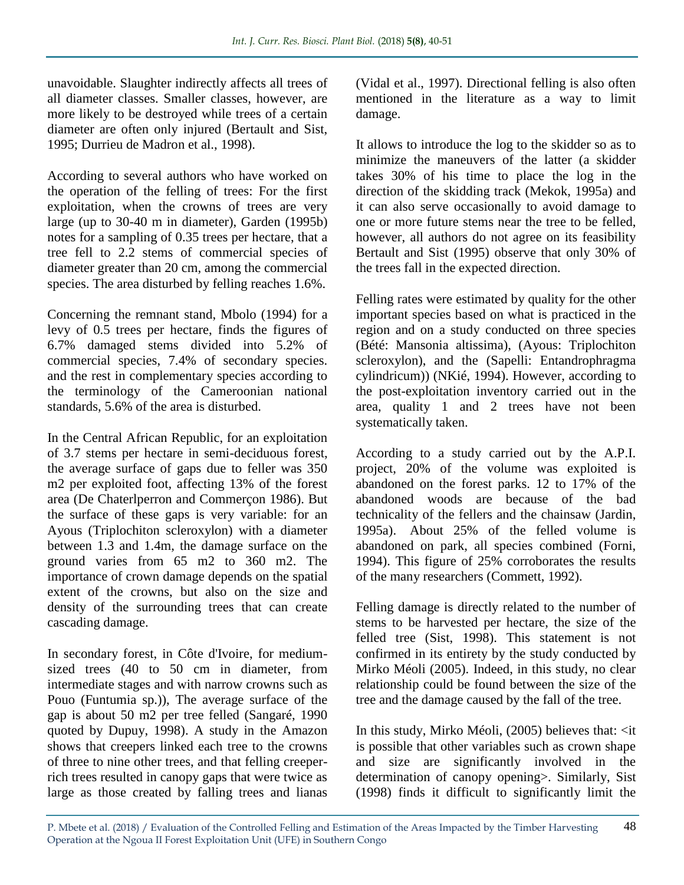unavoidable. Slaughter indirectly affects all trees of all diameter classes. Smaller classes, however, are more likely to be destroyed while trees of a certain diameter are often only injured (Bertault and Sist, 1995; Durrieu de Madron et al., 1998).

According to several authors who have worked on the operation of the felling of trees: For the first exploitation, when the crowns of trees are very large (up to 30-40 m in diameter), Garden (1995b) notes for a sampling of 0.35 trees per hectare, that a tree fell to 2.2 stems of commercial species of diameter greater than 20 cm, among the commercial species. The area disturbed by felling reaches 1.6%.

Concerning the remnant stand, Mbolo (1994) for a levy of 0.5 trees per hectare, finds the figures of 6.7% damaged stems divided into 5.2% of commercial species, 7.4% of secondary species. and the rest in complementary species according to the terminology of the Cameroonian national standards, 5.6% of the area is disturbed.

In the Central African Republic, for an exploitation of 3.7 stems per hectare in semi-deciduous forest, the average surface of gaps due to feller was 350 m2 per exploited foot, affecting 13% of the forest area (De Chaterlperron and Commerçon 1986). But the surface of these gaps is very variable: for an Ayous (Triplochiton scleroxylon) with a diameter between 1.3 and 1.4m, the damage surface on the ground varies from 65 m2 to 360 m2. The importance of crown damage depends on the spatial extent of the crowns, but also on the size and density of the surrounding trees that can create cascading damage.

In secondary forest, in Côte d'Ivoire, for mediumsized trees (40 to 50 cm in diameter, from intermediate stages and with narrow crowns such as Pouo (Funtumia sp.)), The average surface of the gap is about 50 m2 per tree felled (Sangaré, 1990 quoted by Dupuy, 1998). A study in the Amazon shows that creepers linked each tree to the crowns of three to nine other trees, and that felling creeperrich trees resulted in canopy gaps that were twice as large as those created by falling trees and lianas (Vidal et al., 1997). Directional felling is also often mentioned in the literature as a way to limit damage.

It allows to introduce the log to the skidder so as to minimize the maneuvers of the latter (a skidder takes 30% of his time to place the log in the direction of the skidding track (Mekok, 1995a) and it can also serve occasionally to avoid damage to one or more future stems near the tree to be felled, however, all authors do not agree on its feasibility Bertault and Sist (1995) observe that only 30% of the trees fall in the expected direction.

Felling rates were estimated by quality for the other important species based on what is practiced in the region and on a study conducted on three species (Bété: Mansonia altissima), (Ayous: Triplochiton scleroxylon), and the (Sapelli: Entandrophragma cylindricum)) (NKié, 1994). However, according to the post-exploitation inventory carried out in the area, quality 1 and 2 trees have not been systematically taken.

According to a study carried out by the A.P.I. project, 20% of the volume was exploited is abandoned on the forest parks. 12 to 17% of the abandoned woods are because of the bad technicality of the fellers and the chainsaw (Jardin, 1995a). About 25% of the felled volume is abandoned on park, all species combined (Forni, 1994). This figure of 25% corroborates the results of the many researchers (Commett, 1992).

Felling damage is directly related to the number of stems to be harvested per hectare, the size of the felled tree (Sist, 1998). This statement is not confirmed in its entirety by the study conducted by Mirko Méoli (2005). Indeed, in this study, no clear relationship could be found between the size of the tree and the damage caused by the fall of the tree.

In this study, Mirko Méoli, (2005) believes that: <it is possible that other variables such as crown shape and size are significantly involved in the determination of canopy opening>. Similarly, Sist (1998) finds it difficult to significantly limit the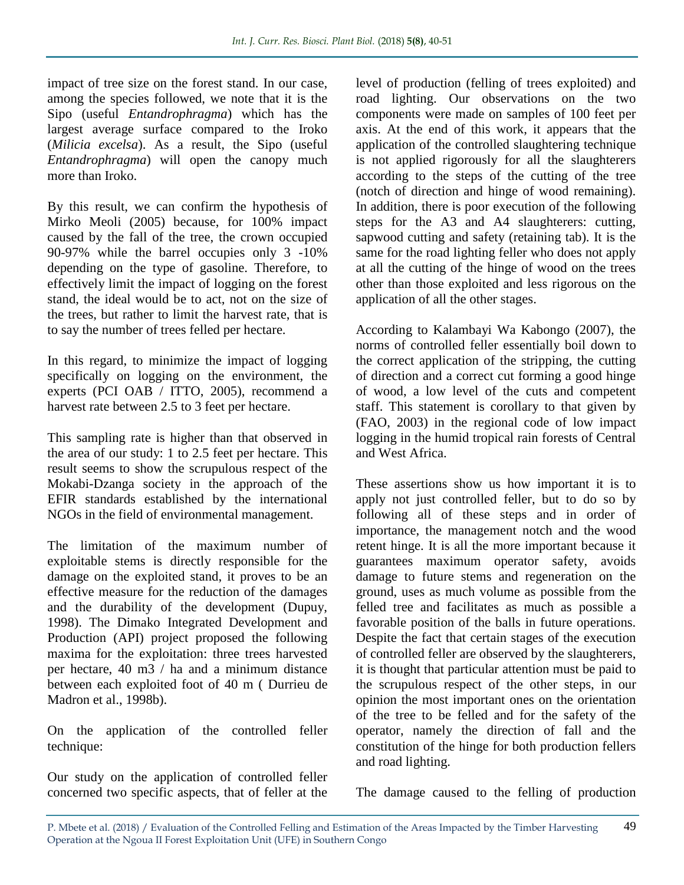impact of tree size on the forest stand. In our case, among the species followed, we note that it is the Sipo (useful *Entandrophragma*) which has the largest average surface compared to the Iroko (*Milicia excelsa*). As a result, the Sipo (useful *Entandrophragma*) will open the canopy much more than Iroko.

By this result, we can confirm the hypothesis of Mirko Meoli (2005) because, for 100% impact caused by the fall of the tree, the crown occupied 90-97% while the barrel occupies only 3 -10% depending on the type of gasoline. Therefore, to effectively limit the impact of logging on the forest stand, the ideal would be to act, not on the size of the trees, but rather to limit the harvest rate, that is to say the number of trees felled per hectare.

In this regard, to minimize the impact of logging specifically on logging on the environment, the experts (PCI OAB / ITTO, 2005), recommend a harvest rate between 2.5 to 3 feet per hectare.

This sampling rate is higher than that observed in the area of our study: 1 to 2.5 feet per hectare. This result seems to show the scrupulous respect of the Mokabi-Dzanga society in the approach of the EFIR standards established by the international NGOs in the field of environmental management.

The limitation of the maximum number of exploitable stems is directly responsible for the damage on the exploited stand, it proves to be an effective measure for the reduction of the damages and the durability of the development (Dupuy, 1998). The Dimako Integrated Development and Production (API) project proposed the following maxima for the exploitation: three trees harvested per hectare, 40 m3 / ha and a minimum distance between each exploited foot of 40 m ( Durrieu de Madron et al., 1998b).

On the application of the controlled feller technique:

Our study on the application of controlled feller concerned two specific aspects, that of feller at the

level of production (felling of trees exploited) and road lighting. Our observations on the two components were made on samples of 100 feet per axis. At the end of this work, it appears that the application of the controlled slaughtering technique is not applied rigorously for all the slaughterers according to the steps of the cutting of the tree (notch of direction and hinge of wood remaining). In addition, there is poor execution of the following steps for the A3 and A4 slaughterers: cutting, sapwood cutting and safety (retaining tab). It is the same for the road lighting feller who does not apply at all the cutting of the hinge of wood on the trees other than those exploited and less rigorous on the application of all the other stages.

According to Kalambayi Wa Kabongo (2007), the norms of controlled feller essentially boil down to the correct application of the stripping, the cutting of direction and a correct cut forming a good hinge of wood, a low level of the cuts and competent staff. This statement is corollary to that given by (FAO, 2003) in the regional code of low impact logging in the humid tropical rain forests of Central and West Africa.

These assertions show us how important it is to apply not just controlled feller, but to do so by following all of these steps and in order of importance, the management notch and the wood retent hinge. It is all the more important because it guarantees maximum operator safety, avoids damage to future stems and regeneration on the ground, uses as much volume as possible from the felled tree and facilitates as much as possible a favorable position of the balls in future operations. Despite the fact that certain stages of the execution of controlled feller are observed by the slaughterers, it is thought that particular attention must be paid to the scrupulous respect of the other steps, in our opinion the most important ones on the orientation of the tree to be felled and for the safety of the operator, namely the direction of fall and the constitution of the hinge for both production fellers and road lighting.

The damage caused to the felling of production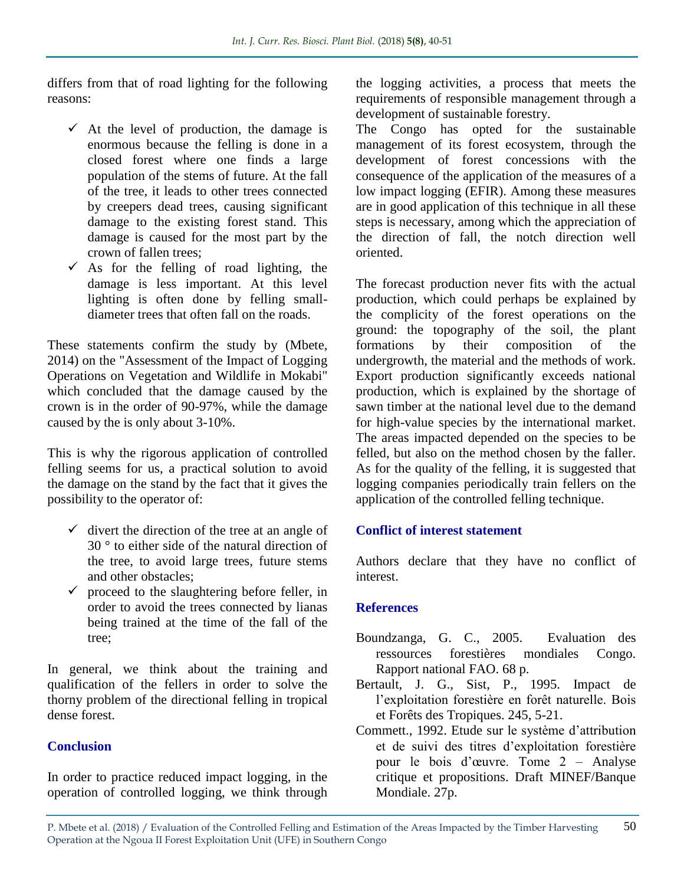differs from that of road lighting for the following reasons:

- $\checkmark$  At the level of production, the damage is enormous because the felling is done in a closed forest where one finds a large population of the stems of future. At the fall of the tree, it leads to other trees connected by creepers dead trees, causing significant damage to the existing forest stand. This damage is caused for the most part by the crown of fallen trees;
- $\checkmark$  As for the felling of road lighting, the damage is less important. At this level lighting is often done by felling smalldiameter trees that often fall on the roads.

These statements confirm the study by (Mbete, 2014) on the "Assessment of the Impact of Logging Operations on Vegetation and Wildlife in Mokabi" which concluded that the damage caused by the crown is in the order of 90-97%, while the damage caused by the is only about 3-10%.

This is why the rigorous application of controlled felling seems for us, a practical solution to avoid the damage on the stand by the fact that it gives the possibility to the operator of:

- $\checkmark$  divert the direction of the tree at an angle of  $30<sup>°</sup>$  to either side of the natural direction of the tree, to avoid large trees, future stems and other obstacles;
- $\checkmark$  proceed to the slaughtering before feller, in order to avoid the trees connected by lianas being trained at the time of the fall of the tree;

In general, we think about the training and qualification of the fellers in order to solve the thorny problem of the directional felling in tropical dense forest.

# **Conclusion**

In order to practice reduced impact logging, in the operation of controlled logging, we think through

the logging activities, a process that meets the requirements of responsible management through a development of sustainable forestry.

The Congo has opted for the sustainable management of its forest ecosystem, through the development of forest concessions with the consequence of the application of the measures of a low impact logging (EFIR). Among these measures are in good application of this technique in all these steps is necessary, among which the appreciation of the direction of fall, the notch direction well oriented.

The forecast production never fits with the actual production, which could perhaps be explained by the complicity of the forest operations on the ground: the topography of the soil, the plant formations by their composition of the undergrowth, the material and the methods of work. Export production significantly exceeds national production, which is explained by the shortage of sawn timber at the national level due to the demand for high-value species by the international market. The areas impacted depended on the species to be felled, but also on the method chosen by the faller. As for the quality of the felling, it is suggested that logging companies periodically train fellers on the application of the controlled felling technique.

#### **Conflict of interest statement**

Authors declare that they have no conflict of interest.

#### **References**

- Boundzanga, G. C., 2005. Evaluation des ressources forestières mondiales Congo. Rapport national FAO. 68 p.
- Bertault, J. G., Sist, P., 1995. Impact de l'exploitation forestière en forêt naturelle. Bois et Forêts des Tropiques. 245, 5-21.
- Commett., 1992. Etude sur le système d'attribution et de suivi des titres d'exploitation forestière pour le bois d'œuvre. Tome 2 – Analyse critique et propositions. Draft MINEF/Banque Mondiale. 27p.